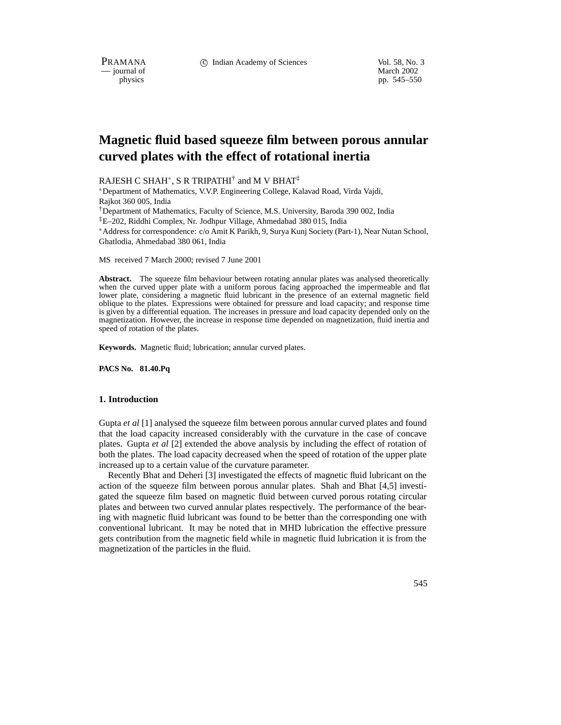PRAMANA 
<sup>c</sup> Indian Academy of Sciences 
<sup>Vol. 58, No. 3

<sup>c</sup> Vol. 58, No. 3
<sup>c</sup> Vol. 59, No. 3
<sup>1</sup></sup>

physics<br>
and the method of March 2002<br>
physics<br>
physics<br>
physics<br>
physics pp. 545–550

# **Magnetic fluid based squeeze film between porous annular curved plates with the effect of rotational inertia**

RAJESH C SHAH $^\ast$ , S R TRIPATHI $^\dagger$  and M V BHAT $^\ddagger$ 

 Department of Mathematics, V.V.P. Engineering College, Kalavad Road, Virda Vajdi, Rajkot 360 005, India

†Department of Mathematics, Faculty of Science, M.S. University, Baroda 390 002, India ‡E–202, Riddhi Complex, Nr. Jodhpur Village, Ahmedabad 380 015, India

 Address for correspondence: c/o Amit K Parikh, 9, Surya Kunj Society (Part-1), Near Nutan School, Ghatlodia, Ahmedabad 380 061, India

MS received 7 March 2000; revised 7 June 2001

**Abstract.** The squeeze film behaviour between rotating annular plates was analysed theoretically when the curved upper plate with a uniform porous facing approached the impermeable and flat lower plate, considering a magnetic fluid lubricant in the presence of an external magnetic field oblique to the plates. Expressions were obtained for pressure and load capacity; and response time is given by a differential equation. The increases in pressure and load capacity depended only on the magnetization. However, the increase in response time depended on magnetization, fluid inertia and speed of rotation of the plates.

**Keywords.** Magnetic fluid; lubrication; annular curved plates.

**PACS No. 81.40.Pq**

#### **1. Introduction**

Gupta *et al* [1] analysed the squeeze film between porous annular curved plates and found that the load capacity increased considerably with the curvature in the case of concave plates. Gupta *et al* [2] extended the above analysis by including the effect of rotation of both the plates. The load capacity decreased when the speed of rotation of the upper plate increased up to a certain value of the curvature parameter.

Recently Bhat and Deheri [3] investigated the effects of magnetic fluid lubricant on the action of the squeeze film between porous annular plates. Shah and Bhat [4,5] investigated the squeeze film based on magnetic fluid between curved porous rotating circular plates and between two curved annular plates respectively. The performance of the bearing with magnetic fluid lubricant was found to be better than the corresponding one with conventional lubricant. It may be noted that in MHD lubrication the effective pressure gets contribution from the magnetic field while in magnetic fluid lubrication it is from the magnetization of the particles in the fluid.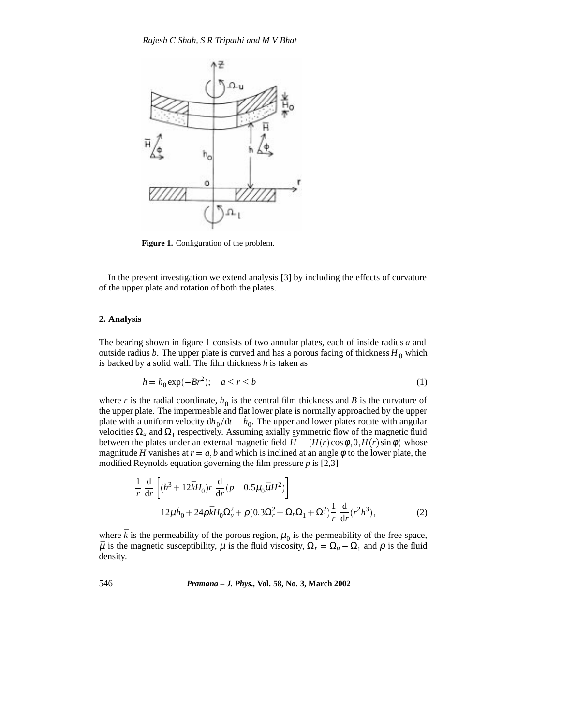

**Figure 1.** Configuration of the problem.

In the present investigation we extend analysis [3] by including the effects of curvature of the upper plate and rotation of both the plates.

### **2. Analysis**

The bearing shown in figure 1 consists of two annular plates, each of inside radius *a* and outside radius *b*. The upper plate is curved and has a porous facing of thickness  $H_0$  which is backed by a solid wall. The film thickness *h* is taken as

$$
h = h_0 \exp(-Br^2); \quad a \le r \le b \tag{1}
$$

where *r* is the radial coordinate,  $h_0$  is the central film thickness and *B* is the curvature of the upper plate. The impermeable and flat lower plate is normally approached by the upper plate with a uniform velocity  $dh_0/dt = \dot{h}_0$ . The upper and lower plates rotate with angular velocities  $\Omega_u$  and  $\Omega_1$  respectively. Assuming axially symmetric flow of the magnetic fluid between the plates under an external magnetic field  $\bar{H} = (H(r) \cos \phi, 0, H(r) \sin \phi)$  whose magnitude *H* vanishes at  $r = a$ , *b* and which is inclined at an angle  $\phi$  to the lower plate, the modified Reynolds equation governing the film pressure *p* is [2,3]

$$
\frac{1}{r} \frac{d}{dr} \left[ (h^3 + 12\bar{k}H_0) r \frac{d}{dr} (p - 0.5\mu_0 \bar{\mu}H^2) \right] =
$$
  
12 $\mu h_0 + 24\rho \bar{k}H_0 \Omega_u^2 + \rho (0.3\Omega_r^2 + \Omega_r \Omega_1 + \Omega_1^2) \frac{1}{r} \frac{d}{dr} (r^2 h^3),$  (2)

where  $\bar{k}$  is the permeability of the porous region,  $\mu_0$  is the permeability of the free space,  $\bar{\mu}$  is the magnetic susceptibility,  $\mu$  is the fluid viscosity,  $\Omega_r = \Omega_u - \Omega_1$  and  $\rho$  is the fluid density.

546 *Pramana – J. Phys.,* **Vol. 58, No. 3, March 2002**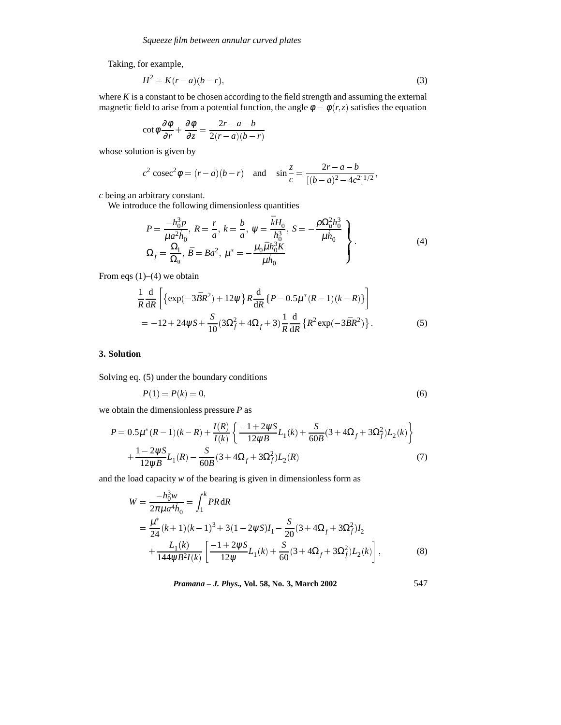Taking, for example,

$$
H^2 = K(r - a)(b - r),
$$
\n(3)

where  $K$  is a constant to be chosen according to the field strength and assuming the external magnetic field to arise from a potential function, the angle  $\phi = \phi(r, z)$  satisfies the equation

$$
\cot \phi \frac{\partial \phi}{\partial r} + \frac{\partial \phi}{\partial z} = \frac{2r - a - b}{2(r - a)(b - r)}
$$

whose solution is given by

$$
c^2 \csc^2 \phi = (r-a)(b-r)
$$
 and  $\sin \frac{z}{c} = \frac{2r-a-b}{[(b-a)^2 - 4c^2]^{1/2}}$ ,

*c* being an arbitrary constant.

We introduce the following dimensionless quantities

$$
P = \frac{-h_0^3 p}{\mu a^2 h_0}, R = \frac{r}{a}, k = \frac{b}{a}, \psi = \frac{\bar{k} H_0}{h_0^3}, S = -\frac{\rho \Omega_u^2 h_0^3}{\mu h_0}
$$
  
\n
$$
\Omega_f = \frac{\Omega_1}{\Omega_u}, \bar{B} = Ba^2, \mu^* = -\frac{\mu_0 \bar{\mu} h_0^3 K}{\mu h_0}
$$
\n(4)

From eqs (1)–(4) we obtain

$$
\frac{1}{R}\frac{d}{dR}\left[\left\{\exp(-3\bar{B}R^{2})+12\psi\right\}R\frac{d}{dR}\left\{P-0.5\mu^{*}(R-1)(k-R)\right\}\right]
$$
  
=-12+24\psi S+\frac{S}{10}(3\Omega\_{f}^{2}+4\Omega\_{f}+3)\frac{1}{R}\frac{d}{dR}\left\{R^{2}\exp(-3\bar{B}R^{2})\right\}.(5)

# **3. Solution**

Solving eq. (5) under the boundary conditions

$$
P(1) = P(k) = 0,\t\t(6)
$$

we obtain the dimensionless pressure *P* as

$$
P = 0.5\mu^*(R-1)(k-R) + \frac{I(R)}{I(k)} \left\{ \frac{-1 + 2\psi S}{12\psi \bar{B}} L_1(k) + \frac{S}{60\bar{B}} (3 + 4\Omega_f + 3\Omega_f^2) L_2(k) \right\} + \frac{1 - 2\psi S}{12\psi \bar{B}} L_1(R) - \frac{S}{60\bar{B}} (3 + 4\Omega_f + 3\Omega_f^2) L_2(R)
$$
(7)

and the load capacity *w* of the bearing is given in dimensionless form as

$$
W = \frac{-h_0^3 w}{2\pi \mu a^4 h_0} = \int_1^k PR \, dR
$$
  
=  $\frac{\mu^*}{24} (k+1)(k-1)^3 + 3(1-2\psi S)I_1 - \frac{S}{20} (3 + 4\Omega_f + 3\Omega_f^2)I_2$   
+  $\frac{L_1(k)}{144\psi \bar{B}^2 I(k)} \left[ \frac{-1 + 2\psi S}{12\psi} L_1(k) + \frac{S}{60} (3 + 4\Omega_f + 3\Omega_f^2) L_2(k) \right],$  (8)

*Pramana – J. Phys.,* **Vol. 58, No. 3, March 2002** 547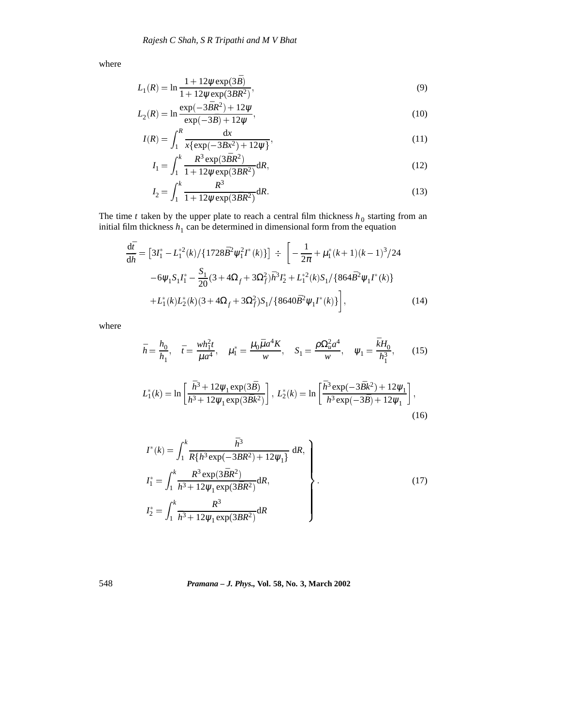where

$$
L_1(R) = \ln \frac{1 + 12\psi \exp(3\bar{B})}{1 + 12\psi \exp(3\bar{B}R^2)},
$$
\n(9)

$$
L_2(R) = \ln \frac{\exp(-3\bar{B}R^2) + 12\psi}{\exp(-3\bar{B}) + 12\psi},
$$
\n(10)

$$
I(R) = \int_{1}^{R} \frac{\mathrm{d}x}{x \{ \exp(-3\bar{B}x^2) + 12\psi \}},
$$
(11)

$$
I_1 = \int_1^k \frac{R^3 \exp(3\bar{B}R^2)}{1 + 12\psi \exp(3\bar{B}R^2)} dR,
$$
\n(12)

$$
I_2 = \int_1^k \frac{R^3}{1 + 12\psi \exp(3\bar{B}R^2)} dR.
$$
 (13)

The time  $t$  taken by the upper plate to reach a central film thickness  $h_0$  starting from an initial film thickness  $h_1$  can be determined in dimensional form from the equation

$$
\frac{d\bar{t}}{d\bar{h}} = [3I_1^* - L_1^{*2}(k) / \{1728\bar{B}^2\psi_1^2 I^*(k)\}] \div \left[ -\frac{1}{2\pi} + \mu_1^*(k+1)(k-1)^3 / 24 -6\psi_1 S_1 I_1^* - \frac{S_1}{20} (3 + 4\Omega_f + 3\Omega_f^2) \bar{h}^3 I_2^* + L_1^{*2}(k) S_1 / \{864\bar{B}^2 \psi_1 I^*(k)\} + L_1^*(k) L_2^*(k) (3 + 4\Omega_f + 3\Omega_f^2) S_1 / \{8640\bar{B}^2 \psi_1 I^*(k)\} \right],
$$
\n(14)

where

$$
\bar{h} = \frac{h_0}{h_1}, \quad \bar{t} = \frac{wh_1^2 t}{\mu a^4}, \quad \mu_1^* = \frac{\mu_0 \bar{\mu} a^4 K}{w}, \quad S_1 = \frac{\rho \Omega_u^2 a^4}{w}, \quad \psi_1 = \frac{\bar{k} H_0}{h_1^3}, \quad (15)
$$
\n
$$
L_1^*(k) = \ln \left[ \frac{\bar{h}^3 + 12 \psi_1 \exp(3\bar{B})}{\bar{h}^3 + 12 \psi_1 \exp(3\bar{B}k^2)} \right], \quad L_2^*(k) = \ln \left[ \frac{\bar{h}^3 \exp(-3\bar{B}k^2) + 12\psi_1}{\bar{h}^3 \exp(-3\bar{B}) + 12\psi_1} \right], \quad (16)
$$

$$
I^*(k) = \int_1^k \frac{\bar{h}^3}{R\{\bar{h}^3 \exp(-3\bar{B}R^2) + 12\psi_1\}} dR,
$$
  
\n
$$
I_1^* = \int_1^k \frac{R^3 \exp(3\bar{B}R^2)}{\bar{h}^3 + 12\psi_1 \exp(3\bar{B}R^2)} dR,
$$
  
\n
$$
I_2^* = \int_1^k \frac{R^3}{\bar{h}^3 + 12\psi_1 \exp(3\bar{B}R^2)} dR
$$
\n(17)

548 *Pramana – J. Phys.,* **Vol. 58, No. 3, March 2002**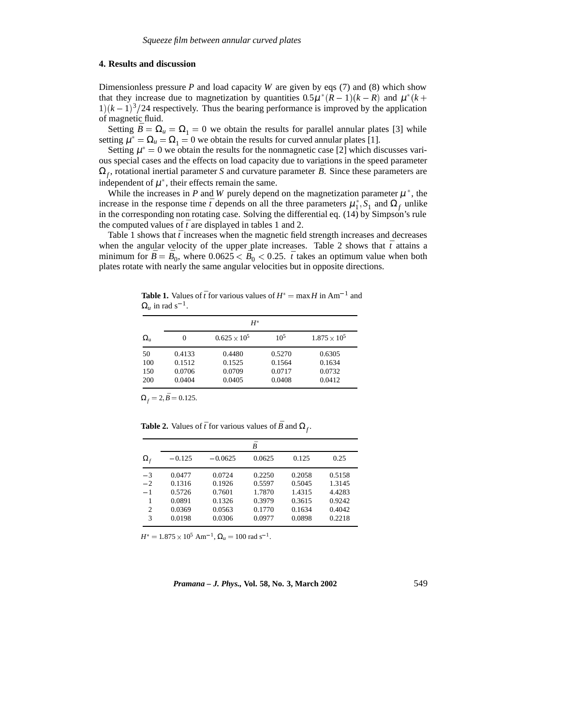## **4. Results and discussion**

Dimensionless pressure  $P$  and load capacity  $W$  are given by eqs (7) and (8) which show that they increase due to magnetization by quantities  $0.5\mu*(R-1)(k-R)$  and  $\mu*(k+$  $1)(k-1)^3/24$  respectively. Thus the bearing performance is improved by the application of magnetic fluid.

Setting  $\bar{B} = \Omega_u = \Omega_1 = 0$  we obtain the results for parallel annular plates [3] while setting  $\mu^* = \Omega_u = \Omega_1 = 0$  we obtain the results for curved annular plates [1].

Setting  $\mu^* = 0$  we obtain the results for the nonmagnetic case [2] which discusses various special cases and the effects on load capacity due to variations in the speed parameter  $\Omega_f$ , rotational inertial parameter *S* and curvature parameter *B*. Since these parameters are independent of  $\mu^*$ , their effects remain the same.

While the increases in  $P$  and  $W$  purely depend on the magnetization parameter  $\mu^*$ , the increase in the response time  $\bar{t}$  depends on all the three parameters  $\mu_1^*$ ,  $S_1$  and  $\Omega_f$  unlike in the corresponding non rotating case. Solving the differential eq. (14) by Simpson's rule the computed values of  $\bar{t}$  are displayed in tables 1 and 2.

Table 1 shows that  $\bar{t}$  increases when the magnetic field strength increases and decreases when the angular velocity of the upper plate increases. Table 2 shows that  $\bar{t}$  attains a minimum for  $\bar{B} = \bar{B}_0$ , where  $0.0625 < \bar{B}_0 < 0.25$ .  $\bar{t}$  takes an optimum value when both plates rotate with nearly the same angular velocities but in opposite directions.

**Table 1.** Values of  $\bar{t}$  for various values of  $H^* = \max H$  in Am<sup>-1</sup> and  $\Omega_u$  in rad s<sup>-1</sup>.

| $H^*$            |        |                       |        |                       |  |  |  |  |
|------------------|--------|-----------------------|--------|-----------------------|--|--|--|--|
| $\Omega_{\rm u}$ | 0      | $0.625 \times 10^{5}$ | $10^5$ | $1.875 \times 10^{5}$ |  |  |  |  |
| 50               | 0.4133 | 0.4480                | 0.5270 | 0.6305                |  |  |  |  |
| 100              | 0.1512 | 0.1525                | 0.1564 | 0.1634                |  |  |  |  |
| 150              | 0.0706 | 0.0709                | 0.0717 | 0.0732                |  |  |  |  |
| 200              | 0.0404 | 0.0405                | 0.0408 | 0.0412                |  |  |  |  |

 $\Omega_f = 2, \bar{B} = 0.125.$ 

**Table 2.** Values of  $\bar{t}$  for various values of  $\bar{B}$  and  $\Omega_f$ .

|                                                  | Ŕ                                                        |                                                          |                                                          |                                                          |                                                          |  |  |
|--------------------------------------------------|----------------------------------------------------------|----------------------------------------------------------|----------------------------------------------------------|----------------------------------------------------------|----------------------------------------------------------|--|--|
| $\Omega_{\rm f}$                                 | $-0.125$                                                 | $-0.0625$                                                | 0.0625                                                   | 0.125                                                    | 0.25                                                     |  |  |
| $-3$<br>$-2$<br>$-1$<br>1<br>$\overline{c}$<br>3 | 0.0477<br>0.1316<br>0.5726<br>0.0891<br>0.0369<br>0.0198 | 0.0724<br>0.1926<br>0.7601<br>0.1326<br>0.0563<br>0.0306 | 0.2250<br>0.5597<br>1.7870<br>0.3979<br>0.1770<br>0.0977 | 0.2058<br>0.5045<br>1.4315<br>0.3615<br>0.1634<br>0.0898 | 0.5158<br>1.3145<br>4.4283<br>0.9242<br>0.4042<br>0.2218 |  |  |

 $H^* = 1.875 \times 10^5$  Am<sup>-1</sup>,  $\Omega_u = 100$  rad s<sup>-1</sup>.

*Pramana – J. Phys.,* **Vol. 58, No. 3, March 2002** 549